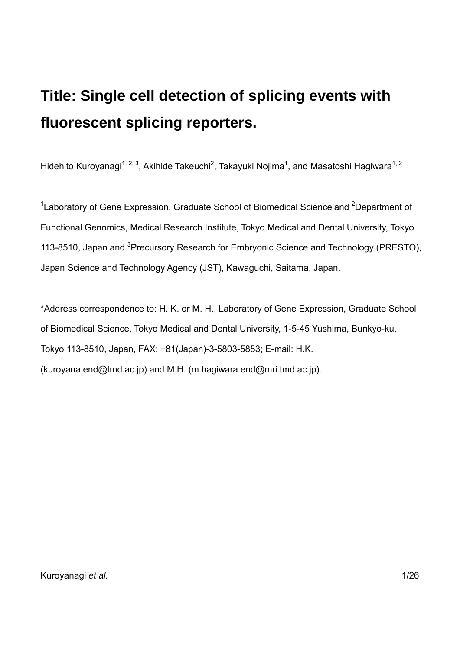# **Title: Single cell detection of splicing events with fluorescent splicing reporters.**

Hidehito Kuroyanagi<sup>1, 2, 3</sup>, Akihide Takeuchi<sup>2</sup>, Takayuki Nojima<sup>1</sup>, and Masatoshi Hagiwara<sup>1, 2</sup>

<sup>1</sup> Laboratory of Gene Expression, Graduate School of Biomedical Science and <sup>2</sup> Department of Functional Genomics, Medical Research Institute, Tokyo Medical and Dental University, Tokyo 113-8510, Japan and <sup>3</sup>Precursory Research for Embryonic Science and Technology (PRESTO), Japan Science and Technology Agency (JST), Kawaguchi, Saitama, Japan.

\*Address correspondence to: H. K. or M. H., Laboratory of Gene Expression, Graduate School of Biomedical Science, Tokyo Medical and Dental University, 1-5-45 Yushima, Bunkyo-ku, Tokyo 113-8510, Japan, FAX: +81(Japan)-3-5803-5853; E-mail: H.K. (kuroyana.end@tmd.ac.jp) and M.H. (m.hagiwara.end@mri.tmd.ac.jp).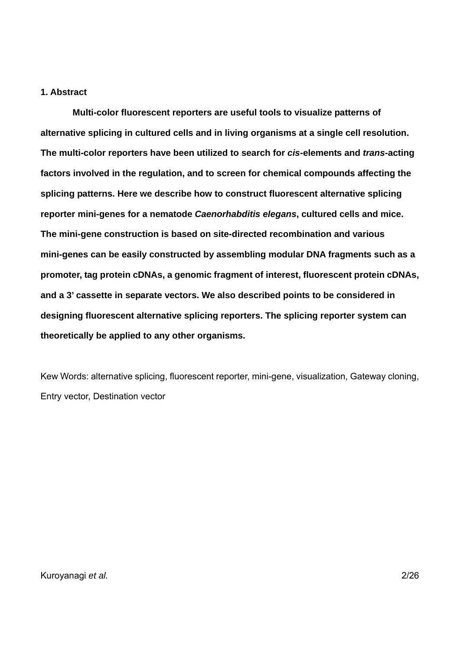# **1. Abstract**

**Multi-color fluorescent reporters are useful tools to visualize patterns of alternative splicing in cultured cells and in living organisms at a single cell resolution. The multi-color reporters have been utilized to search for** *cis***-elements and** *trans***-acting factors involved in the regulation, and to screen for chemical compounds affecting the splicing patterns. Here we describe how to construct fluorescent alternative splicing reporter mini-genes for a nematode** *Caenorhabditis elegans***, cultured cells and mice. The mini-gene construction is based on site-directed recombination and various mini-genes can be easily constructed by assembling modular DNA fragments such as a promoter, tag protein cDNAs, a genomic fragment of interest, fluorescent protein cDNAs, and a 3' cassette in separate vectors. We also described points to be considered in designing fluorescent alternative splicing reporters. The splicing reporter system can theoretically be applied to any other organisms.** 

Kew Words: alternative splicing, fluorescent reporter, mini-gene, visualization, Gateway cloning, Entry vector, Destination vector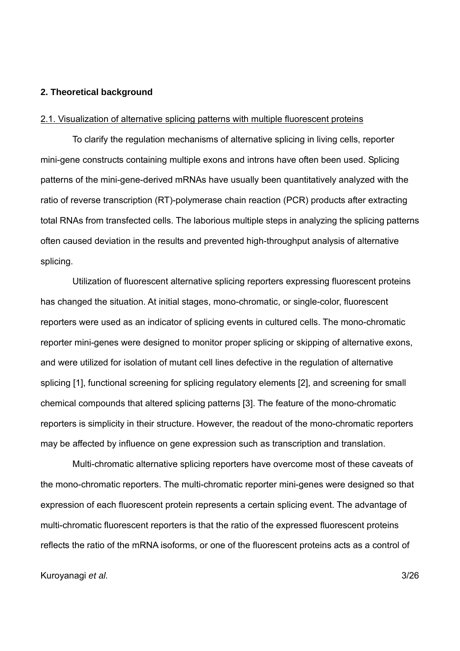#### **2. Theoretical background**

#### 2.1. Visualization of alternative splicing patterns with multiple fluorescent proteins

To clarify the regulation mechanisms of alternative splicing in living cells, reporter mini-gene constructs containing multiple exons and introns have often been used. Splicing patterns of the mini-gene-derived mRNAs have usually been quantitatively analyzed with the ratio of reverse transcription (RT)-polymerase chain reaction (PCR) products after extracting total RNAs from transfected cells. The laborious multiple steps in analyzing the splicing patterns often caused deviation in the results and prevented high-throughput analysis of alternative splicing.

Utilization of fluorescent alternative splicing reporters expressing fluorescent proteins has changed the situation. At initial stages, mono-chromatic, or single-color, fluorescent reporters were used as an indicator of splicing events in cultured cells. The mono-chromatic reporter mini-genes were designed to monitor proper splicing or skipping of alternative exons, and were utilized for isolation of mutant cell lines defective in the regulation of alternative splicing [1], functional screening for splicing regulatory elements [2], and screening for small chemical compounds that altered splicing patterns [3]. The feature of the mono-chromatic reporters is simplicity in their structure. However, the readout of the mono-chromatic reporters may be affected by influence on gene expression such as transcription and translation.

Multi-chromatic alternative splicing reporters have overcome most of these caveats of the mono-chromatic reporters. The multi-chromatic reporter mini-genes were designed so that expression of each fluorescent protein represents a certain splicing event. The advantage of multi-chromatic fluorescent reporters is that the ratio of the expressed fluorescent proteins reflects the ratio of the mRNA isoforms, or one of the fluorescent proteins acts as a control of

#### Kuroyanagi *et al.* 3/26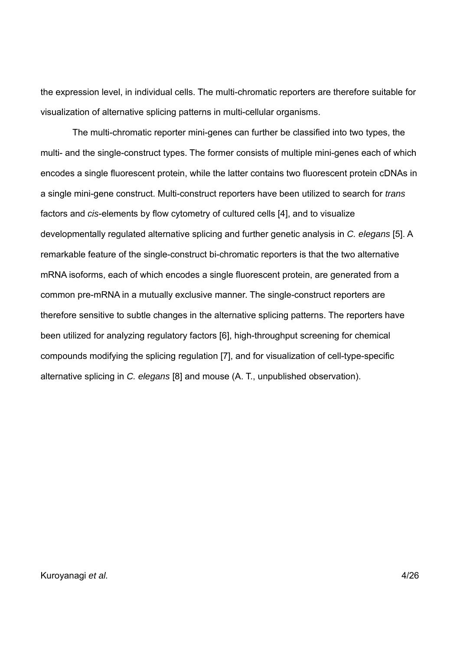the expression level, in individual cells. The multi-chromatic reporters are therefore suitable for visualization of alternative splicing patterns in multi-cellular organisms.

The multi-chromatic reporter mini-genes can further be classified into two types, the multi- and the single-construct types. The former consists of multiple mini-genes each of which encodes a single fluorescent protein, while the latter contains two fluorescent protein cDNAs in a single mini-gene construct. Multi-construct reporters have been utilized to search for *trans* factors and *cis*-elements by flow cytometry of cultured cells [4], and to visualize developmentally regulated alternative splicing and further genetic analysis in *C. elegans* [5]. A remarkable feature of the single-construct bi-chromatic reporters is that the two alternative mRNA isoforms, each of which encodes a single fluorescent protein, are generated from a common pre-mRNA in a mutually exclusive manner. The single-construct reporters are therefore sensitive to subtle changes in the alternative splicing patterns. The reporters have been utilized for analyzing regulatory factors [6], high-throughput screening for chemical compounds modifying the splicing regulation [7], and for visualization of cell-type-specific alternative splicing in *C. elegans* [8] and mouse (A. T., unpublished observation).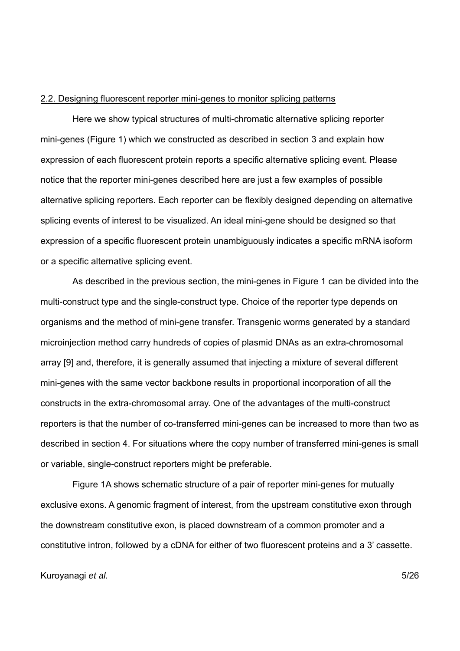### 2.2. Designing fluorescent reporter mini-genes to monitor splicing patterns

Here we show typical structures of multi-chromatic alternative splicing reporter mini-genes (Figure 1) which we constructed as described in section 3 and explain how expression of each fluorescent protein reports a specific alternative splicing event. Please notice that the reporter mini-genes described here are just a few examples of possible alternative splicing reporters. Each reporter can be flexibly designed depending on alternative splicing events of interest to be visualized. An ideal mini-gene should be designed so that expression of a specific fluorescent protein unambiguously indicates a specific mRNA isoform or a specific alternative splicing event.

As described in the previous section, the mini-genes in Figure 1 can be divided into the multi-construct type and the single-construct type. Choice of the reporter type depends on organisms and the method of mini-gene transfer. Transgenic worms generated by a standard microinjection method carry hundreds of copies of plasmid DNAs as an extra-chromosomal array [9] and, therefore, it is generally assumed that injecting a mixture of several different mini-genes with the same vector backbone results in proportional incorporation of all the constructs in the extra-chromosomal array. One of the advantages of the multi-construct reporters is that the number of co-transferred mini-genes can be increased to more than two as described in section 4. For situations where the copy number of transferred mini-genes is small or variable, single-construct reporters might be preferable.

Figure 1A shows schematic structure of a pair of reporter mini-genes for mutually exclusive exons. A genomic fragment of interest, from the upstream constitutive exon through the downstream constitutive exon, is placed downstream of a common promoter and a constitutive intron, followed by a cDNA for either of two fluorescent proteins and a 3' cassette.

#### Kuroyanagi *et al.* 5/26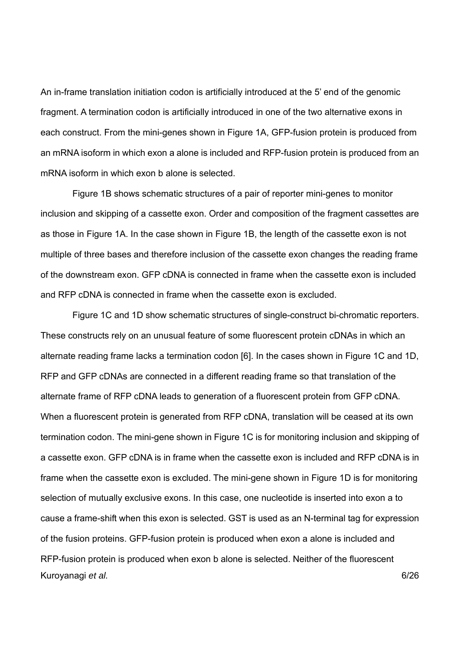An in-frame translation initiation codon is artificially introduced at the 5' end of the genomic fragment. A termination codon is artificially introduced in one of the two alternative exons in each construct. From the mini-genes shown in Figure 1A, GFP-fusion protein is produced from an mRNA isoform in which exon a alone is included and RFP-fusion protein is produced from an mRNA isoform in which exon b alone is selected.

Figure 1B shows schematic structures of a pair of reporter mini-genes to monitor inclusion and skipping of a cassette exon. Order and composition of the fragment cassettes are as those in Figure 1A. In the case shown in Figure 1B, the length of the cassette exon is not multiple of three bases and therefore inclusion of the cassette exon changes the reading frame of the downstream exon. GFP cDNA is connected in frame when the cassette exon is included and RFP cDNA is connected in frame when the cassette exon is excluded.

Kuroyanagi *et al.* 6/26 Figure 1C and 1D show schematic structures of single-construct bi-chromatic reporters. These constructs rely on an unusual feature of some fluorescent protein cDNAs in which an alternate reading frame lacks a termination codon [6]. In the cases shown in Figure 1C and 1D, RFP and GFP cDNAs are connected in a different reading frame so that translation of the alternate frame of RFP cDNA leads to generation of a fluorescent protein from GFP cDNA. When a fluorescent protein is generated from RFP cDNA, translation will be ceased at its own termination codon. The mini-gene shown in Figure 1C is for monitoring inclusion and skipping of a cassette exon. GFP cDNA is in frame when the cassette exon is included and RFP cDNA is in frame when the cassette exon is excluded. The mini-gene shown in Figure 1D is for monitoring selection of mutually exclusive exons. In this case, one nucleotide is inserted into exon a to cause a frame-shift when this exon is selected. GST is used as an N-terminal tag for expression of the fusion proteins. GFP-fusion protein is produced when exon a alone is included and RFP-fusion protein is produced when exon b alone is selected. Neither of the fluorescent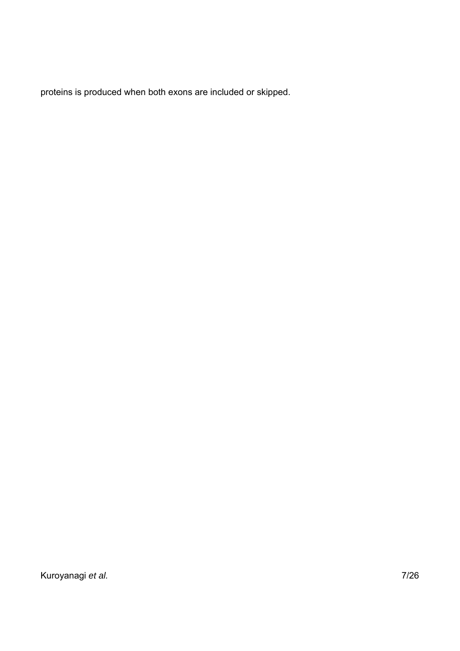proteins is produced when both exons are included or skipped.

Kuroyanagi *et al.* 7/26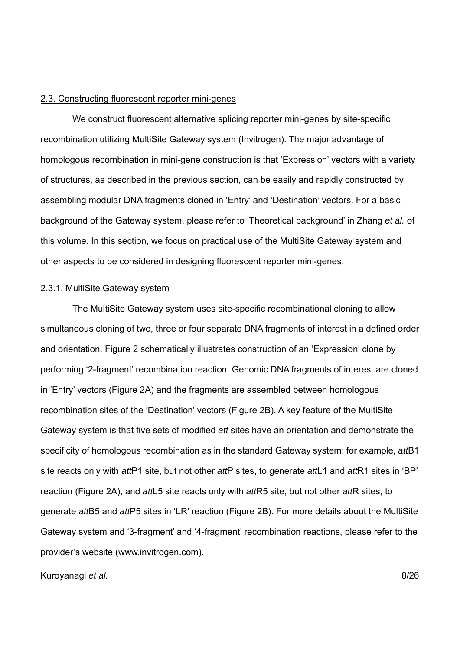# 2.3. Constructing fluorescent reporter mini-genes

We construct fluorescent alternative splicing reporter mini-genes by site-specific recombination utilizing MultiSite Gateway system (Invitrogen). The major advantage of homologous recombination in mini-gene construction is that 'Expression' vectors with a variety of structures, as described in the previous section, can be easily and rapidly constructed by assembling modular DNA fragments cloned in 'Entry' and 'Destination' vectors. For a basic background of the Gateway system, please refer to 'Theoretical background' in Zhang *et al.* of this volume. In this section, we focus on practical use of the MultiSite Gateway system and other aspects to be considered in designing fluorescent reporter mini-genes.

# 2.3.1. MultiSite Gateway system

The MultiSite Gateway system uses site-specific recombinational cloning to allow simultaneous cloning of two, three or four separate DNA fragments of interest in a defined order and orientation. Figure 2 schematically illustrates construction of an 'Expression' clone by performing '2-fragment' recombination reaction. Genomic DNA fragments of interest are cloned in 'Entry' vectors (Figure 2A) and the fragments are assembled between homologous recombination sites of the 'Destination' vectors (Figure 2B). A key feature of the MultiSite Gateway system is that five sets of modified *att* sites have an orientation and demonstrate the specificity of homologous recombination as in the standard Gateway system: for example, *att*B1 site reacts only with *att*P1 site, but not other *att*P sites, to generate *att*L1 and *att*R1 sites in 'BP' reaction (Figure 2A), and *att*L5 site reacts only with *att*R5 site, but not other *att*R sites, to generate *att*B5 and *att*P5 sites in 'LR' reaction (Figure 2B). For more details about the MultiSite Gateway system and '3-fragment' and '4-fragment' recombination reactions, please refer to the provider's website (www.invitrogen.com).

Kuroyanagi *et al.* 8/26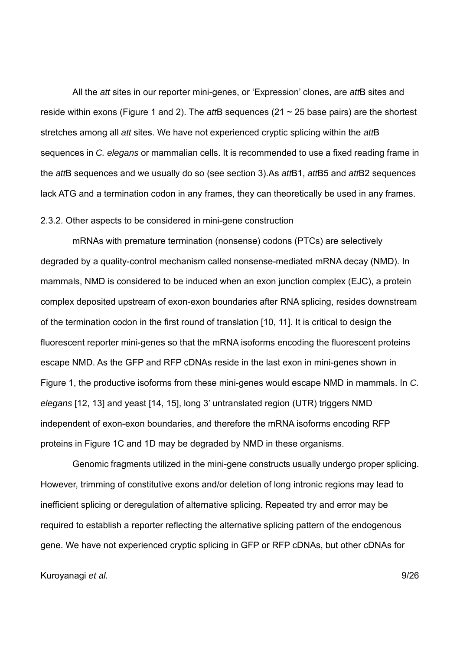All the *att* sites in our reporter mini-genes, or 'Expression' clones, are *att*B sites and reside within exons (Figure 1 and 2). The *att*B sequences (21 ~ 25 base pairs) are the shortest stretches among all *att* sites. We have not experienced cryptic splicing within the *att*B sequences in *C. elegans* or mammalian cells. It is recommended to use a fixed reading frame in the *att*B sequences and we usually do so (see section 3).As *att*B1, *att*B5 and *att*B2 sequences lack ATG and a termination codon in any frames, they can theoretically be used in any frames.

## 2.3.2. Other aspects to be considered in mini-gene construction

mRNAs with premature termination (nonsense) codons (PTCs) are selectively degraded by a quality-control mechanism called nonsense-mediated mRNA decay (NMD). In mammals, NMD is considered to be induced when an exon junction complex (EJC), a protein complex deposited upstream of exon-exon boundaries after RNA splicing, resides downstream of the termination codon in the first round of translation [10, 11]. It is critical to design the fluorescent reporter mini-genes so that the mRNA isoforms encoding the fluorescent proteins escape NMD. As the GFP and RFP cDNAs reside in the last exon in mini-genes shown in Figure 1, the productive isoforms from these mini-genes would escape NMD in mammals. In *C. elegans* [12, 13] and yeast [14, 15], long 3' untranslated region (UTR) triggers NMD independent of exon-exon boundaries, and therefore the mRNA isoforms encoding RFP proteins in Figure 1C and 1D may be degraded by NMD in these organisms.

Genomic fragments utilized in the mini-gene constructs usually undergo proper splicing. However, trimming of constitutive exons and/or deletion of long intronic regions may lead to inefficient splicing or deregulation of alternative splicing. Repeated try and error may be required to establish a reporter reflecting the alternative splicing pattern of the endogenous gene. We have not experienced cryptic splicing in GFP or RFP cDNAs, but other cDNAs for

Kuroyanagi *et al.* 9/26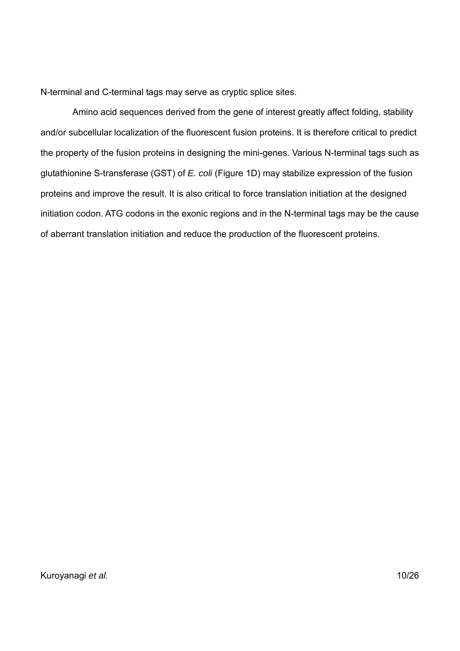N-terminal and C-terminal tags may serve as cryptic splice sites.

Amino acid sequences derived from the gene of interest greatly affect folding, stability and/or subcellular localization of the fluorescent fusion proteins. It is therefore critical to predict the property of the fusion proteins in designing the mini-genes. Various N-terminal tags such as glutathionine S-transferase (GST) of *E. coli* (Figure 1D) may stabilize expression of the fusion proteins and improve the result. It is also critical to force translation initiation at the designed initiation codon. ATG codons in the exonic regions and in the N-terminal tags may be the cause of aberrant translation initiation and reduce the production of the fluorescent proteins.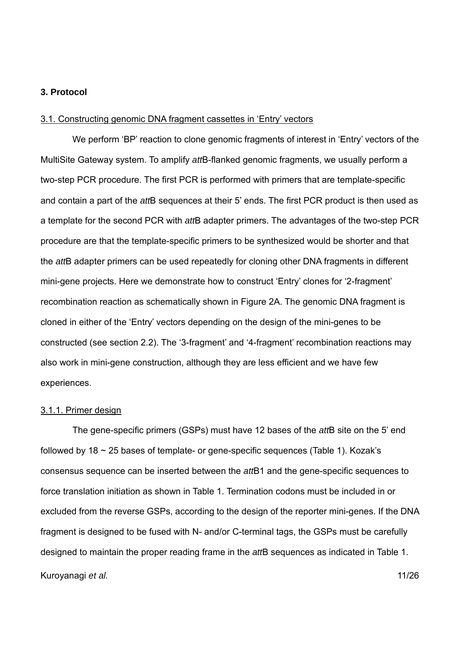# **3. Protocol**

#### 3.1. Constructing genomic DNA fragment cassettes in 'Entry' vectors

We perform 'BP' reaction to clone genomic fragments of interest in 'Entry' vectors of the MultiSite Gateway system. To amplify *att*B-flanked genomic fragments, we usually perform a two-step PCR procedure. The first PCR is performed with primers that are template-specific and contain a part of the *att*B sequences at their 5' ends. The first PCR product is then used as a template for the second PCR with *att*B adapter primers. The advantages of the two-step PCR procedure are that the template-specific primers to be synthesized would be shorter and that the *att*B adapter primers can be used repeatedly for cloning other DNA fragments in different mini-gene projects. Here we demonstrate how to construct 'Entry' clones for '2-fragment' recombination reaction as schematically shown in Figure 2A. The genomic DNA fragment is cloned in either of the 'Entry' vectors depending on the design of the mini-genes to be constructed (see section 2.2). The '3-fragment' and '4-fragment' recombination reactions may also work in mini-gene construction, although they are less efficient and we have few experiences.

#### 3.1.1. Primer design

Kuroyanagi *et al.* 11/26 The gene-specific primers (GSPs) must have 12 bases of the *att*B site on the 5' end followed by  $18 \sim 25$  bases of template- or gene-specific sequences (Table 1). Kozak's consensus sequence can be inserted between the *att*B1 and the gene-specific sequences to force translation initiation as shown in Table 1. Termination codons must be included in or excluded from the reverse GSPs, according to the design of the reporter mini-genes. If the DNA fragment is designed to be fused with N- and/or C-terminal tags, the GSPs must be carefully designed to maintain the proper reading frame in the *att*B sequences as indicated in Table 1.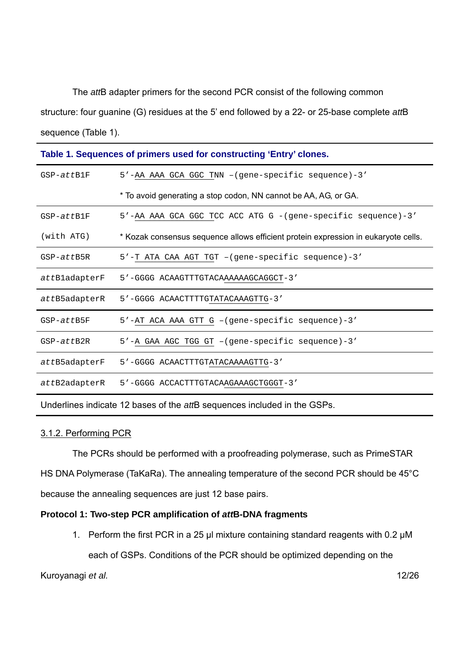The *att*B adapter primers for the second PCR consist of the following common structure: four guanine (G) residues at the 5' end followed by a 22- or 25-base complete *att*B sequence (Table 1).

| Table 1. Sequences of primers used for constructing 'Entry' clones. |                                                                                    |  |  |
|---------------------------------------------------------------------|------------------------------------------------------------------------------------|--|--|
| GSP-attB1F                                                          | 5'-AA AAA GCA GGC TNN -(gene-specific sequence)-3'                                 |  |  |
|                                                                     | * To avoid generating a stop codon, NN cannot be AA, AG, or GA.                    |  |  |
| $GSP-attB1F$                                                        | 5'-AA AAA GCA GGC TCC ACC ATG G -(gene-specific sequence)-3'                       |  |  |
| (with ATG)                                                          | * Kozak consensus sequence allows efficient protein expression in eukaryote cells. |  |  |
| GSP-attB5R                                                          | 5'-T ATA CAA AGT TGT -(gene-specific sequence)-3'                                  |  |  |
| attBladapterF                                                       | 5'-GGGG ACAAGTTTGTACAAAAAAGCAGGCT-3'                                               |  |  |
| attB5adapterR                                                       | 5'-GGGG ACAACTTTTGTATACAAAGTTG-3'                                                  |  |  |
| $GSP-attB5F$                                                        | 5'-AT ACA AAA GTT G -(gene-specific sequence)-3'                                   |  |  |
| $GSP-attB2R$                                                        | 5'-A GAA AGC TGG GT -(gene-specific sequence)-3'                                   |  |  |
| attB5adapterF                                                       | 5'-GGGG ACAACTTTGTATACAAAAGTTG-3'                                                  |  |  |
| attB2adapterR                                                       | 5'-GGGG ACCACTTTGTACAAGAAAGCTGGGT-3'                                               |  |  |
|                                                                     |                                                                                    |  |  |

Underlines indicate 12 bases of the *att*B sequences included in the GSPs.

## 3.1.2. Performing PCR

The PCRs should be performed with a proofreading polymerase, such as PrimeSTAR HS DNA Polymerase (TaKaRa). The annealing temperature of the second PCR should be 45°C because the annealing sequences are just 12 base pairs.

# **Protocol 1: Two-step PCR amplification of** *att***B-DNA fragments**

1. Perform the first PCR in a 25 μl mixture containing standard reagents with 0.2 µM each of GSPs. Conditions of the PCR should be optimized depending on the

Kuroyanagi *et al.* 12/26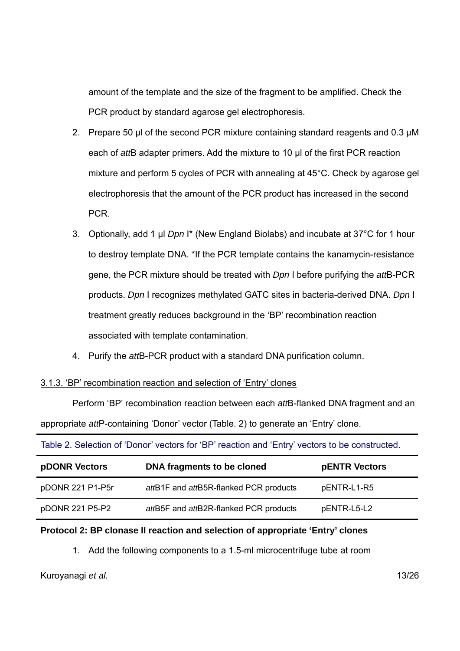amount of the template and the size of the fragment to be amplified. Check the PCR product by standard agarose gel electrophoresis.

- 2. Prepare 50 μl of the second PCR mixture containing standard reagents and 0.3 µM each of *att*B adapter primers. Add the mixture to 10 μl of the first PCR reaction mixture and perform 5 cycles of PCR with annealing at 45°C. Check by agarose gel electrophoresis that the amount of the PCR product has increased in the second PCR.
- 3. Optionally, add 1 μl *Dpn* I\* (New England Biolabs) and incubate at 37°C for 1 hour to destroy template DNA. \*If the PCR template contains the kanamycin-resistance gene, the PCR mixture should be treated with *Dpn* I before purifying the *att*B-PCR products. *Dpn* I recognizes methylated GATC sites in bacteria-derived DNA. *Dpn* I treatment greatly reduces background in the 'BP' recombination reaction associated with template contamination.
- 4. Purify the *att*B-PCR product with a standard DNA purification column.

## 3.1.3. 'BP' recombination reaction and selection of 'Entry' clones

Perform 'BP' recombination reaction between each *att*B-flanked DNA fragment and an appropriate *att*P-containing 'Donor' vector (Table. 2) to generate an 'Entry' clone.

|  |  |  | Table 2. Selection of 'Donor' vectors for 'BP' reaction and 'Entry' vectors to be constructed. |
|--|--|--|------------------------------------------------------------------------------------------------|
|--|--|--|------------------------------------------------------------------------------------------------|

| <b>pDONR Vectors</b> | DNA fragments to be cloned             | <b>pENTR Vectors</b> |
|----------------------|----------------------------------------|----------------------|
| pDONR 221 P1-P5r     | attB1F and attB5R-flanked PCR products | pENTR-L1-R5          |
| pDONR 221 P5-P2      | attB5F and attB2R-flanked PCR products | pENTR-L5-L2          |

# **Protocol 2: BP clonase II reaction and selection of appropriate 'Entry' clones**

1. Add the following components to a 1.5-ml microcentrifuge tube at room

Kuroyanagi *et al.* 13/26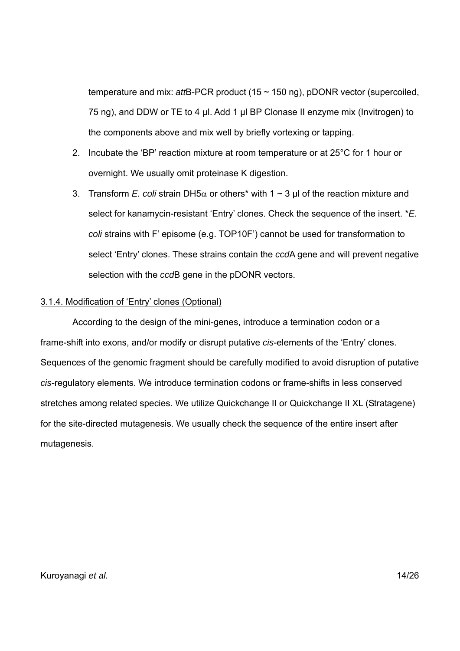temperature and mix: *att*B-PCR product (15 ~ 150 ng), pDONR vector (supercoiled, 75 ng), and DDW or TE to 4 μl. Add 1 μl BP Clonase II enzyme mix (Invitrogen) to the components above and mix well by briefly vortexing or tapping.

- 2. Incubate the 'BP' reaction mixture at room temperature or at 25°C for 1 hour or overnight. We usually omit proteinase K digestion.
- 3. Transform *E. coli* strain DH5 $\alpha$  or others<sup>\*</sup> with 1  $\sim$  3 µ of the reaction mixture and select for kanamycin-resistant 'Entry' clones. Check the sequence of the insert. \**E. coli* strains with F' episome (e.g. TOP10F') cannot be used for transformation to select 'Entry' clones. These strains contain the *ccd*A gene and will prevent negative selection with the *ccd*B gene in the pDONR vectors.

# 3.1.4. Modification of 'Entry' clones (Optional)

According to the design of the mini-genes, introduce a termination codon or a frame-shift into exons, and/or modify or disrupt putative *cis*-elements of the 'Entry' clones. Sequences of the genomic fragment should be carefully modified to avoid disruption of putative *cis*-regulatory elements. We introduce termination codons or frame-shifts in less conserved stretches among related species. We utilize Quickchange II or Quickchange II XL (Stratagene) for the site-directed mutagenesis. We usually check the sequence of the entire insert after mutagenesis.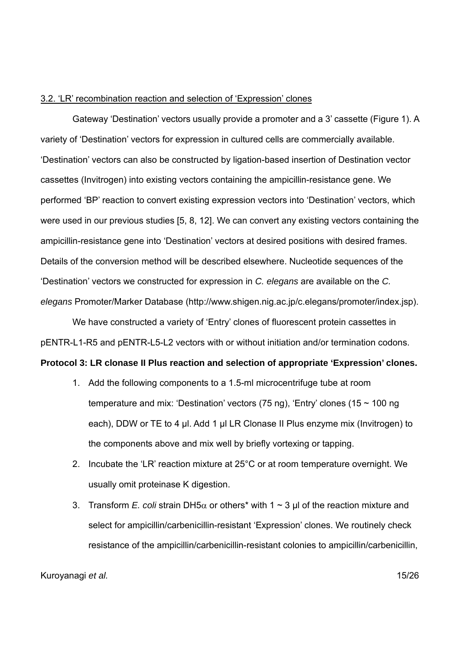# 3.2. 'LR' recombination reaction and selection of 'Expression' clones

Gateway 'Destination' vectors usually provide a promoter and a 3' cassette (Figure 1). A variety of 'Destination' vectors for expression in cultured cells are commercially available. 'Destination' vectors can also be constructed by ligation-based insertion of Destination vector cassettes (Invitrogen) into existing vectors containing the ampicillin-resistance gene. We performed 'BP' reaction to convert existing expression vectors into 'Destination' vectors, which were used in our previous studies [5, 8, 12]. We can convert any existing vectors containing the ampicillin-resistance gene into 'Destination' vectors at desired positions with desired frames. Details of the conversion method will be described elsewhere. Nucleotide sequences of the 'Destination' vectors we constructed for expression in *C. elegans* are available on the *C. elegans* Promoter/Marker Database (http://www.shigen.nig.ac.jp/c.elegans/promoter/index.jsp).

We have constructed a variety of 'Entry' clones of fluorescent protein cassettes in pENTR-L1-R5 and pENTR-L5-L2 vectors with or without initiation and/or termination codons.

# **Protocol 3: LR clonase II Plus reaction and selection of appropriate 'Expression' clones.**

- 1. Add the following components to a 1.5-ml microcentrifuge tube at room temperature and mix: 'Destination' vectors (75 ng), 'Entry' clones (15 ~ 100 ng each), DDW or TE to 4 μl. Add 1 μl LR Clonase II Plus enzyme mix (Invitrogen) to the components above and mix well by briefly vortexing or tapping.
- 2. Incubate the 'LR' reaction mixture at 25°C or at room temperature overnight. We usually omit proteinase K digestion.
- 3. Transform *E. coli* strain DH5 $\alpha$  or others<sup>\*</sup> with 1  $\sim$  3 µ of the reaction mixture and select for ampicillin/carbenicillin-resistant 'Expression' clones. We routinely check resistance of the ampicillin/carbenicillin-resistant colonies to ampicillin/carbenicillin,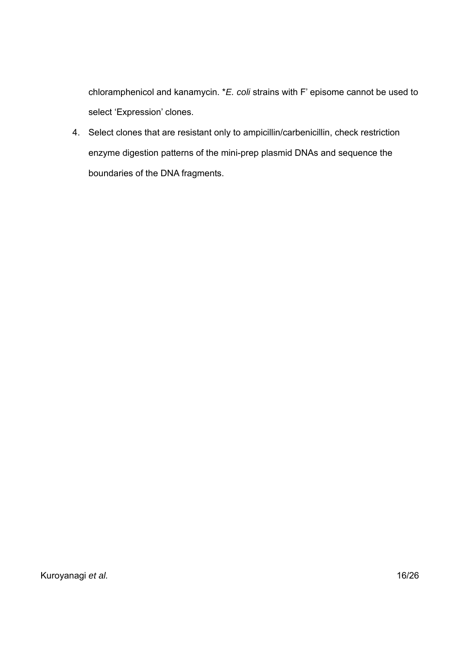chloramphenicol and kanamycin. \**E. coli* strains with F' episome cannot be used to select 'Expression' clones.

4. Select clones that are resistant only to ampicillin/carbenicillin, check restriction enzyme digestion patterns of the mini-prep plasmid DNAs and sequence the boundaries of the DNA fragments.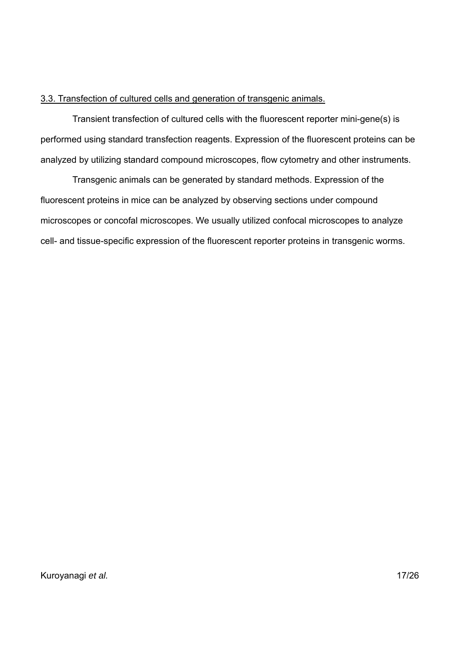# 3.3. Transfection of cultured cells and generation of transgenic animals.

Transient transfection of cultured cells with the fluorescent reporter mini-gene(s) is performed using standard transfection reagents. Expression of the fluorescent proteins can be analyzed by utilizing standard compound microscopes, flow cytometry and other instruments.

Transgenic animals can be generated by standard methods. Expression of the fluorescent proteins in mice can be analyzed by observing sections under compound microscopes or concofal microscopes. We usually utilized confocal microscopes to analyze cell- and tissue-specific expression of the fluorescent reporter proteins in transgenic worms.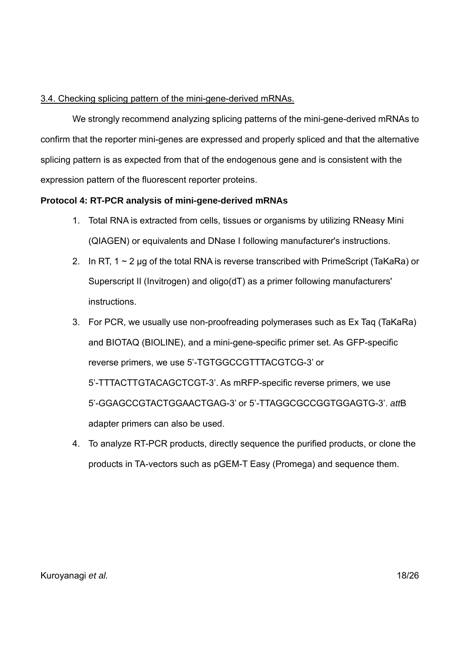# 3.4. Checking splicing pattern of the mini-gene-derived mRNAs.

We strongly recommend analyzing splicing patterns of the mini-gene-derived mRNAs to confirm that the reporter mini-genes are expressed and properly spliced and that the alternative splicing pattern is as expected from that of the endogenous gene and is consistent with the expression pattern of the fluorescent reporter proteins.

# **Protocol 4: RT-PCR analysis of mini-gene-derived mRNAs**

- 1. Total RNA is extracted from cells, tissues or organisms by utilizing RNeasy Mini (QIAGEN) or equivalents and DNase I following manufacturer's instructions.
- 2. In RT,  $1 \sim 2$  µg of the total RNA is reverse transcribed with PrimeScript (TaKaRa) or Superscript II (Invitrogen) and oligo(dT) as a primer following manufacturers' instructions.
- 3. For PCR, we usually use non-proofreading polymerases such as Ex Taq (TaKaRa) and BIOTAQ (BIOLINE), and a mini-gene-specific primer set. As GFP-specific reverse primers, we use 5'-TGTGGCCGTTTACGTCG-3' or 5'-TTTACTTGTACAGCTCGT-3'. As mRFP-specific reverse primers, we use 5'-GGAGCCGTACTGGAACTGAG-3' or 5'-TTAGGCGCCGGTGGAGTG-3'. *att*B adapter primers can also be used.
- 4. To analyze RT-PCR products, directly sequence the purified products, or clone the products in TA-vectors such as pGEM-T Easy (Promega) and sequence them.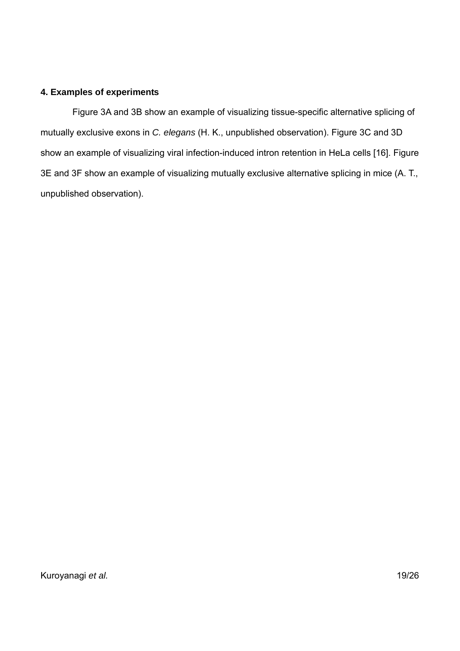# **4. Examples of experiments**

Figure 3A and 3B show an example of visualizing tissue-specific alternative splicing of mutually exclusive exons in *C. elegans* (H. K., unpublished observation). Figure 3C and 3D show an example of visualizing viral infection-induced intron retention in HeLa cells [16]. Figure 3E and 3F show an example of visualizing mutually exclusive alternative splicing in mice (A. T., unpublished observation).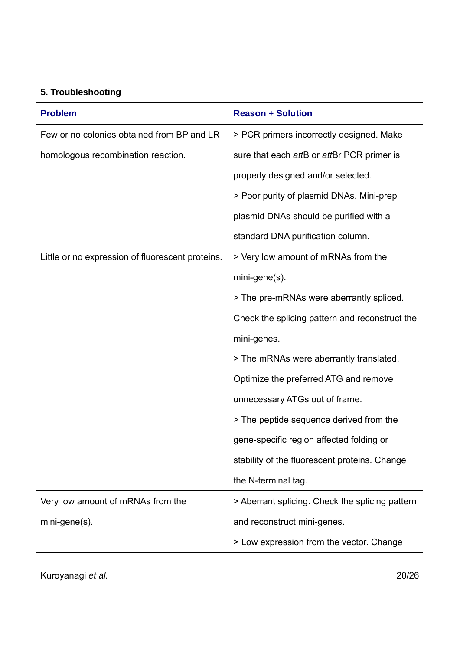# **5. Troubleshooting**

| <b>Problem</b>                                   | <b>Reason + Solution</b>                        |  |
|--------------------------------------------------|-------------------------------------------------|--|
| Few or no colonies obtained from BP and LR       | > PCR primers incorrectly designed. Make        |  |
| homologous recombination reaction.               | sure that each attB or attBr PCR primer is      |  |
|                                                  | properly designed and/or selected.              |  |
|                                                  | > Poor purity of plasmid DNAs. Mini-prep        |  |
|                                                  | plasmid DNAs should be purified with a          |  |
|                                                  | standard DNA purification column.               |  |
| Little or no expression of fluorescent proteins. | > Very low amount of mRNAs from the             |  |
|                                                  | mini-gene(s).                                   |  |
|                                                  | > The pre-mRNAs were aberrantly spliced.        |  |
|                                                  | Check the splicing pattern and reconstruct the  |  |
|                                                  | mini-genes.                                     |  |
|                                                  | > The mRNAs were aberrantly translated.         |  |
|                                                  | Optimize the preferred ATG and remove           |  |
|                                                  | unnecessary ATGs out of frame.                  |  |
|                                                  | > The peptide sequence derived from the         |  |
|                                                  | gene-specific region affected folding or        |  |
|                                                  | stability of the fluorescent proteins. Change   |  |
|                                                  | the N-terminal tag.                             |  |
| Very low amount of mRNAs from the                | > Aberrant splicing. Check the splicing pattern |  |
| mini-gene(s).                                    | and reconstruct mini-genes.                     |  |
|                                                  | > Low expression from the vector. Change        |  |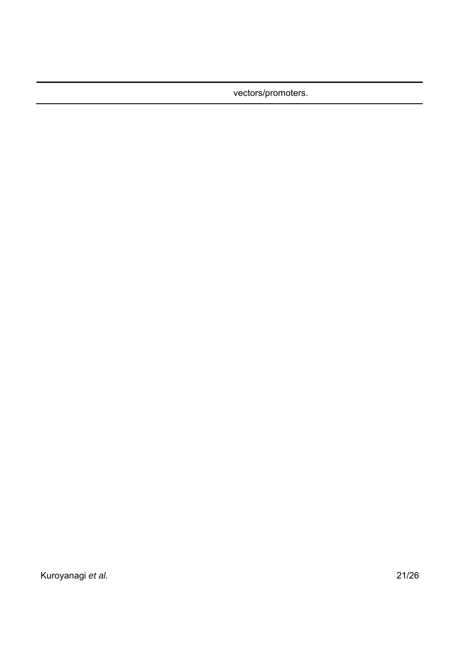vectors/promoters.

Kuroyanagi *et al.* 21/26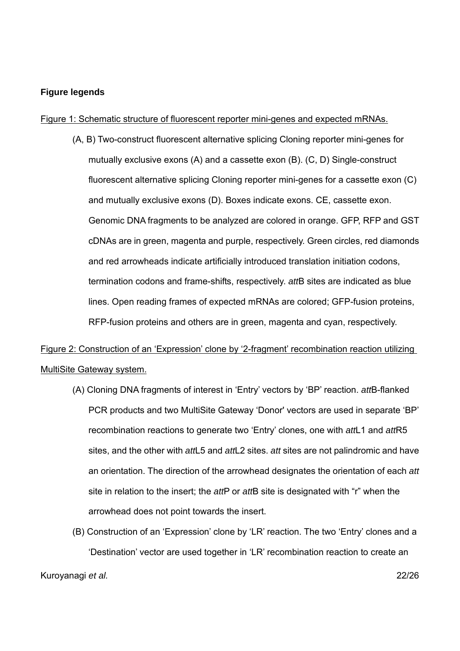# **Figure legends**

# Figure 1: Schematic structure of fluorescent reporter mini-genes and expected mRNAs.

(A, B) Two-construct fluorescent alternative splicing Cloning reporter mini-genes for mutually exclusive exons (A) and a cassette exon (B). (C, D) Single-construct fluorescent alternative splicing Cloning reporter mini-genes for a cassette exon (C) and mutually exclusive exons (D). Boxes indicate exons. CE, cassette exon. Genomic DNA fragments to be analyzed are colored in orange. GFP, RFP and GST cDNAs are in green, magenta and purple, respectively. Green circles, red diamonds and red arrowheads indicate artificially introduced translation initiation codons, termination codons and frame-shifts, respectively. *att*B sites are indicated as blue lines. Open reading frames of expected mRNAs are colored; GFP-fusion proteins, RFP-fusion proteins and others are in green, magenta and cyan, respectively.

# Figure 2: Construction of an 'Expression' clone by '2-fragment' recombination reaction utilizing MultiSite Gateway system.

- (A) Cloning DNA fragments of interest in 'Entry' vectors by 'BP' reaction. *att*B-flanked PCR products and two MultiSite Gateway 'Donor' vectors are used in separate 'BP' recombination reactions to generate two 'Entry' clones, one with *att*L1 and *att*R5 sites, and the other with *att*L5 and *att*L2 sites. *att* sites are not palindromic and have an orientation. The direction of the arrowhead designates the orientation of each *att* site in relation to the insert; the *att*P or *att*B site is designated with "r" when the arrowhead does not point towards the insert.
- (B) Construction of an 'Expression' clone by 'LR' reaction. The two 'Entry' clones and a 'Destination' vector are used together in 'LR' recombination reaction to create an

Kuroyanagi *et al.* 22/26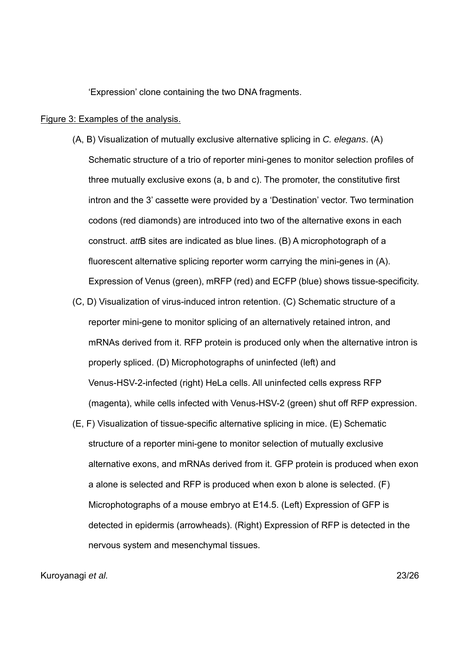'Expression' clone containing the two DNA fragments.

#### Figure 3: Examples of the analysis.

- (A, B) Visualization of mutually exclusive alternative splicing in *C. elegans*. (A) Schematic structure of a trio of reporter mini-genes to monitor selection profiles of three mutually exclusive exons (a, b and c). The promoter, the constitutive first intron and the 3' cassette were provided by a 'Destination' vector. Two termination codons (red diamonds) are introduced into two of the alternative exons in each construct. *att*B sites are indicated as blue lines. (B) A microphotograph of a fluorescent alternative splicing reporter worm carrying the mini-genes in (A). Expression of Venus (green), mRFP (red) and ECFP (blue) shows tissue-specificity.
- (C, D) Visualization of virus-induced intron retention. (C) Schematic structure of a reporter mini-gene to monitor splicing of an alternatively retained intron, and mRNAs derived from it. RFP protein is produced only when the alternative intron is properly spliced. (D) Microphotographs of uninfected (left) and Venus-HSV-2-infected (right) HeLa cells. All uninfected cells express RFP (magenta), while cells infected with Venus-HSV-2 (green) shut off RFP expression.
- (E, F) Visualization of tissue-specific alternative splicing in mice. (E) Schematic structure of a reporter mini-gene to monitor selection of mutually exclusive alternative exons, and mRNAs derived from it. GFP protein is produced when exon a alone is selected and RFP is produced when exon b alone is selected. (F) Microphotographs of a mouse embryo at E14.5. (Left) Expression of GFP is detected in epidermis (arrowheads). (Right) Expression of RFP is detected in the nervous system and mesenchymal tissues.

# Kuroyanagi *et al.* 23/26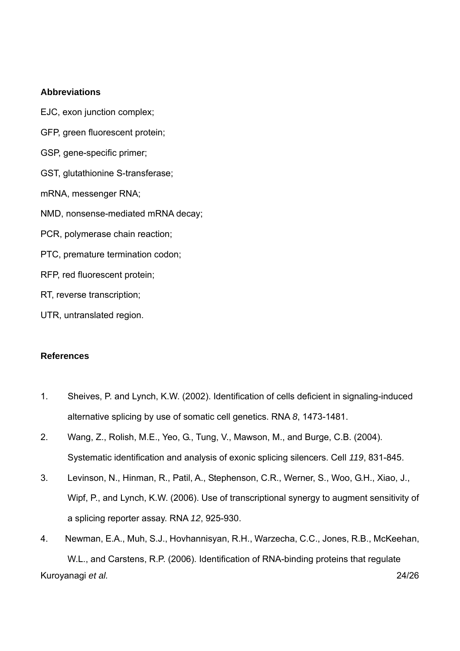# **Abbreviations**

EJC, exon junction complex; GFP, green fluorescent protein; GSP, gene-specific primer; GST, glutathionine S-transferase; mRNA, messenger RNA; NMD, nonsense-mediated mRNA decay; PCR, polymerase chain reaction; PTC, premature termination codon; RFP, red fluorescent protein; RT, reverse transcription; UTR, untranslated region.

# **References**

- 1. Sheives, P. and Lynch, K.W. (2002). Identification of cells deficient in signaling-induced alternative splicing by use of somatic cell genetics. RNA *8*, 1473-1481.
- 2. Wang, Z., Rolish, M.E., Yeo, G., Tung, V., Mawson, M., and Burge, C.B. (2004). Systematic identification and analysis of exonic splicing silencers. Cell *119*, 831-845.
- 3. Levinson, N., Hinman, R., Patil, A., Stephenson, C.R., Werner, S., Woo, G.H., Xiao, J., Wipf, P., and Lynch, K.W. (2006). Use of transcriptional synergy to augment sensitivity of a splicing reporter assay. RNA *12*, 925-930.
- Kuroyanagi *et al.* 24/26 4. Newman, E.A., Muh, S.J., Hovhannisyan, R.H., Warzecha, C.C., Jones, R.B., McKeehan, W.L., and Carstens, R.P. (2006). Identification of RNA-binding proteins that regulate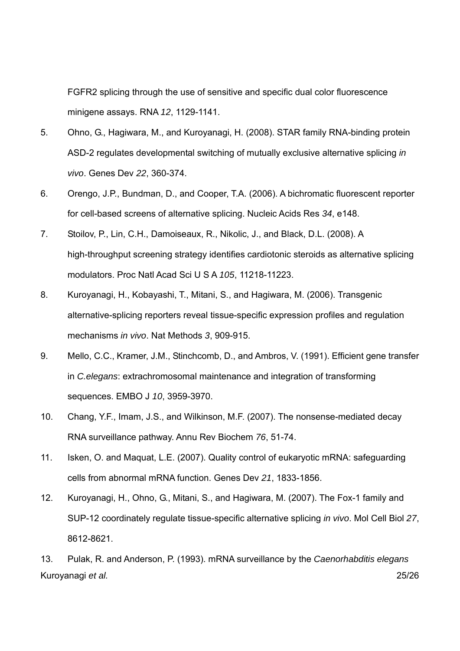FGFR2 splicing through the use of sensitive and specific dual color fluorescence minigene assays. RNA *12*, 1129-1141.

- 5. Ohno, G., Hagiwara, M., and Kuroyanagi, H. (2008). STAR family RNA-binding protein ASD-2 regulates developmental switching of mutually exclusive alternative splicing *in vivo*. Genes Dev *22*, 360-374.
- 6. Orengo, J.P., Bundman, D., and Cooper, T.A. (2006). A bichromatic fluorescent reporter for cell-based screens of alternative splicing. Nucleic Acids Res *34*, e148.
- 7. Stoilov, P., Lin, C.H., Damoiseaux, R., Nikolic, J., and Black, D.L. (2008). A high-throughput screening strategy identifies cardiotonic steroids as alternative splicing modulators. Proc Natl Acad Sci U S A *105*, 11218-11223.
- 8. Kuroyanagi, H., Kobayashi, T., Mitani, S., and Hagiwara, M. (2006). Transgenic alternative-splicing reporters reveal tissue-specific expression profiles and regulation mechanisms *in vivo*. Nat Methods *3*, 909-915.
- 9. Mello, C.C., Kramer, J.M., Stinchcomb, D., and Ambros, V. (1991). Efficient gene transfer in *C.elegans*: extrachromosomal maintenance and integration of transforming sequences. EMBO J *10*, 3959-3970.
- 10. Chang, Y.F., Imam, J.S., and Wilkinson, M.F. (2007). The nonsense-mediated decay RNA surveillance pathway. Annu Rev Biochem *76*, 51-74.
- 11. Isken, O. and Maquat, L.E. (2007). Quality control of eukaryotic mRNA: safeguarding cells from abnormal mRNA function. Genes Dev *21*, 1833-1856.
- 12. Kuroyanagi, H., Ohno, G., Mitani, S., and Hagiwara, M. (2007). The Fox-1 family and SUP-12 coordinately regulate tissue-specific alternative splicing *in vivo*. Mol Cell Biol *27*, 8612-8621.

Kuroyanagi *et al.* 25/26 13. Pulak, R. and Anderson, P. (1993). mRNA surveillance by the *Caenorhabditis elegans*